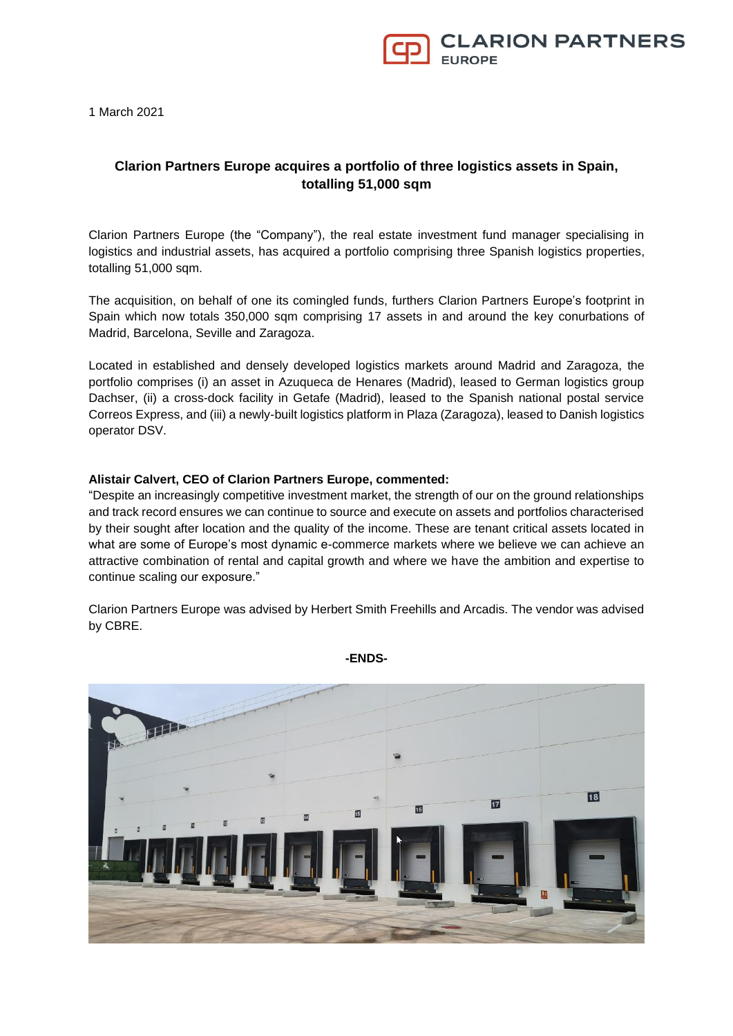

1 March 2021

## **Clarion Partners Europe acquires a portfolio of three logistics assets in Spain, totalling 51,000 sqm**

Clarion Partners Europe (the "Company"), the real estate investment fund manager specialising in logistics and industrial assets, has acquired a portfolio comprising three Spanish logistics properties, totalling 51,000 sqm.

The acquisition, on behalf of one its comingled funds, furthers Clarion Partners Europe's footprint in Spain which now totals 350,000 sqm comprising 17 assets in and around the key conurbations of Madrid, Barcelona, Seville and Zaragoza.

Located in established and densely developed logistics markets around Madrid and Zaragoza, the portfolio comprises (i) an asset in Azuqueca de Henares (Madrid), leased to German logistics group Dachser, (ii) a cross-dock facility in Getafe (Madrid), leased to the Spanish national postal service Correos Express, and (iii) a newly-built logistics platform in Plaza (Zaragoza), leased to Danish logistics operator DSV.

## **Alistair Calvert, CEO of Clarion Partners Europe, commented:**

"Despite an increasingly competitive investment market, the strength of our on the ground relationships and track record ensures we can continue to source and execute on assets and portfolios characterised by their sought after location and the quality of the income. These are tenant critical assets located in what are some of Europe's most dynamic e-commerce markets where we believe we can achieve an attractive combination of rental and capital growth and where we have the ambition and expertise to continue scaling our exposure."

Clarion Partners Europe was advised by Herbert Smith Freehills and Arcadis. The vendor was advised by CBRE.



**-ENDS-**